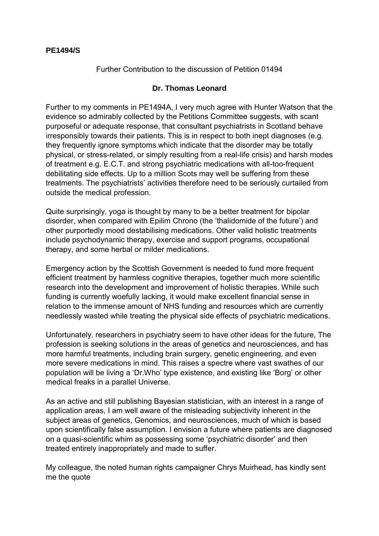Further Contribution to the discussion of Petition 01494

## **Dr. Thomas Leonard**

Further to my comments in PE1494A, I very much agree with Hunter Watson that the evidence so admirably collected by the Petitions Committee suggests, with scant purposeful or adequate response, that consultant psychiatrists in Scotland behave irresponsibly towards their patients. This is in respect to both inept diagnoses (e.g. they frequently ignore symptoms which indicate that the disorder may be totally physical, or stress-related, or simply resulting from a real-life crisis) and harsh modes of treatment e.g. E.C.T. and strong psychiatric medications with all-too-frequent debilitating side effects. Up to a million Scots may well be suffering from these treatments. The psychiatrists' activities therefore need to be seriously curtailed from outside the medical profession.

Quite surprisingly, yoga is thought by many to be a better treatment for bipolar disorder, when compared with Epilim Chrono (the 'thalidomide of the future') and other purportedly mood destabilising medications. Other valid holistic treatments include psychodynamic therapy, exercise and support programs, occupational therapy, and some herbal or milder medications.

Emergency action by the Scottish Government is needed to fund more frequent efficient treatment by harmless cognitive therapies, together much more scientific research into the development and improvement of holistic therapies. While such funding is currently woefully lacking, it would make excellent financial sense in relation to the immense amount of NHS funding and resources which are currently needlessly wasted while treating the physical side effects of psychiatric medications.

Unfortunately, researchers in psychiatry seem to have other ideas for the future, The profession is seeking solutions in the areas of genetics and neurosciences, and has more harmful treatments, including brain surgery, genetic engineering, and even more severe medications in mind. This raises a spectre where vast swathes of our population will be living a 'Dr.Who' type existence, and existing like 'Borg' or other medical freaks in a parallel Universe.

As an active and still publishing Bayesian statistician, with an interest in a range of application areas, I am well aware of the misleading subjectivity inherent in the subject areas of genetics, Genomics, and neurosciences, much of which is based upon scientifically false assumption. I envision a future where patients are diagnosed on a quasi-scientific whim as possessing some 'psychiatric disorder' and then treated entirely inappropriately and made to suffer.

My colleague, the noted human rights campaigner Chrys Muirhead, has kindly sent me the quote